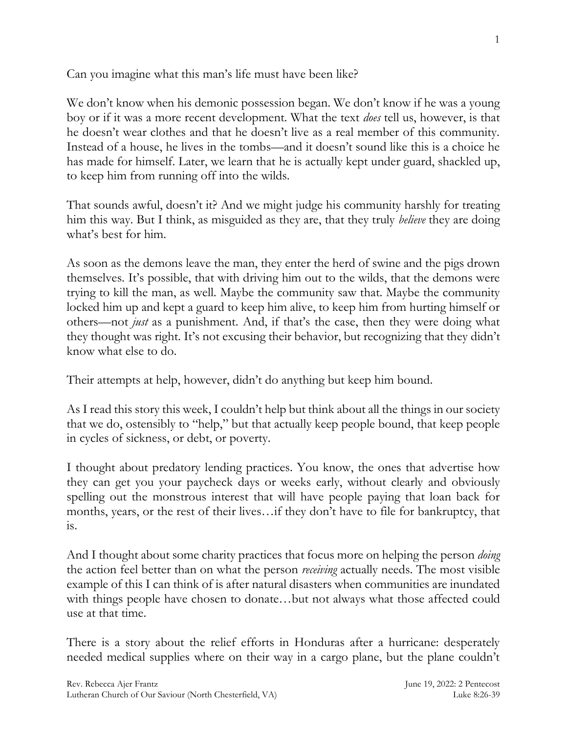Can you imagine what this man's life must have been like?

We don't know when his demonic possession began. We don't know if he was a young boy or if it was a more recent development. What the text *does* tell us, however, is that he doesn't wear clothes and that he doesn't live as a real member of this community. Instead of a house, he lives in the tombs—and it doesn't sound like this is a choice he has made for himself. Later, we learn that he is actually kept under guard, shackled up, to keep him from running off into the wilds.

That sounds awful, doesn't it? And we might judge his community harshly for treating him this way. But I think, as misguided as they are, that they truly *believe* they are doing what's best for him.

As soon as the demons leave the man, they enter the herd of swine and the pigs drown themselves. It's possible, that with driving him out to the wilds, that the demons were trying to kill the man, as well. Maybe the community saw that. Maybe the community locked him up and kept a guard to keep him alive, to keep him from hurting himself or others—not *just* as a punishment. And, if that's the case, then they were doing what they thought was right. It's not excusing their behavior, but recognizing that they didn't know what else to do.

Their attempts at help, however, didn't do anything but keep him bound.

As I read this story this week, I couldn't help but think about all the things in our society that we do, ostensibly to "help," but that actually keep people bound, that keep people in cycles of sickness, or debt, or poverty.

I thought about predatory lending practices. You know, the ones that advertise how they can get you your paycheck days or weeks early, without clearly and obviously spelling out the monstrous interest that will have people paying that loan back for months, years, or the rest of their lives…if they don't have to file for bankruptcy, that is.

And I thought about some charity practices that focus more on helping the person *doing* the action feel better than on what the person *receiving* actually needs. The most visible example of this I can think of is after natural disasters when communities are inundated with things people have chosen to donate...but not always what those affected could use at that time.

There is a story about the relief efforts in Honduras after a hurricane: desperately needed medical supplies where on their way in a cargo plane, but the plane couldn't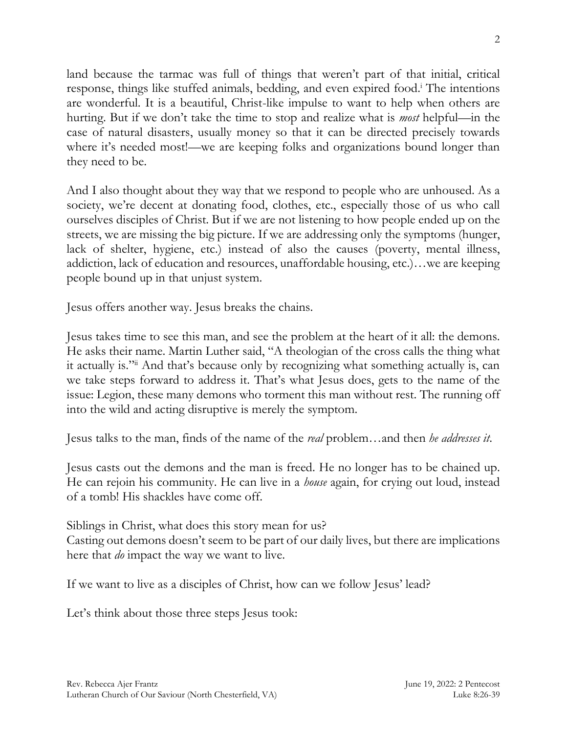land because the tarmac was full of things that weren't part of that initial, critical response, things like stuffed animals, bedding, and even expired food. <sup>i</sup> The intentions are wonderful. It is a beautiful, Christ-like impulse to want to help when others are hurting. But if we don't take the time to stop and realize what is *most* helpful—in the case of natural disasters, usually money so that it can be directed precisely towards where it's needed most!—we are keeping folks and organizations bound longer than they need to be.

And I also thought about they way that we respond to people who are unhoused. As a society, we're decent at donating food, clothes, etc., especially those of us who call ourselves disciples of Christ. But if we are not listening to how people ended up on the streets, we are missing the big picture. If we are addressing only the symptoms (hunger, lack of shelter, hygiene, etc.) instead of also the causes (poverty, mental illness, addiction, lack of education and resources, unaffordable housing, etc.)…we are keeping people bound up in that unjust system.

Jesus offers another way. Jesus breaks the chains.

Jesus takes time to see this man, and see the problem at the heart of it all: the demons. He asks their name. Martin Luther said, "A theologian of the cross calls the thing what it actually is."ii And that's because only by recognizing what something actually is, can we take steps forward to address it. That's what Jesus does, gets to the name of the issue: Legion, these many demons who torment this man without rest. The running off into the wild and acting disruptive is merely the symptom.

Jesus talks to the man, finds of the name of the *real* problem…and then *he addresses it*.

Jesus casts out the demons and the man is freed. He no longer has to be chained up. He can rejoin his community. He can live in a *house* again, for crying out loud, instead of a tomb! His shackles have come off.

Siblings in Christ, what does this story mean for us? Casting out demons doesn't seem to be part of our daily lives, but there are implications here that *do* impact the way we want to live.

If we want to live as a disciples of Christ, how can we follow Jesus' lead?

Let's think about those three steps Jesus took: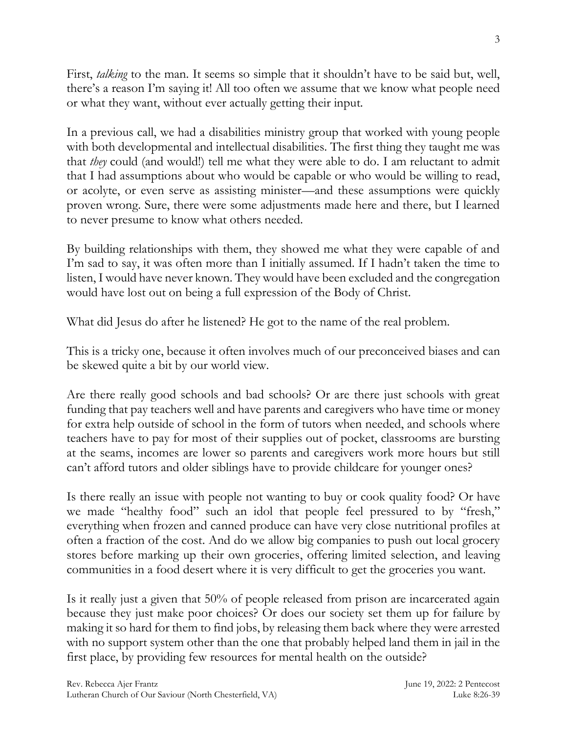First, *talking* to the man. It seems so simple that it shouldn't have to be said but, well, there's a reason I'm saying it! All too often we assume that we know what people need or what they want, without ever actually getting their input.

In a previous call, we had a disabilities ministry group that worked with young people with both developmental and intellectual disabilities. The first thing they taught me was that *they* could (and would!) tell me what they were able to do. I am reluctant to admit that I had assumptions about who would be capable or who would be willing to read, or acolyte, or even serve as assisting minister—and these assumptions were quickly proven wrong. Sure, there were some adjustments made here and there, but I learned to never presume to know what others needed.

By building relationships with them, they showed me what they were capable of and I'm sad to say, it was often more than I initially assumed. If I hadn't taken the time to listen, I would have never known. They would have been excluded and the congregation would have lost out on being a full expression of the Body of Christ.

What did Jesus do after he listened? He got to the name of the real problem.

This is a tricky one, because it often involves much of our preconceived biases and can be skewed quite a bit by our world view.

Are there really good schools and bad schools? Or are there just schools with great funding that pay teachers well and have parents and caregivers who have time or money for extra help outside of school in the form of tutors when needed, and schools where teachers have to pay for most of their supplies out of pocket, classrooms are bursting at the seams, incomes are lower so parents and caregivers work more hours but still can't afford tutors and older siblings have to provide childcare for younger ones?

Is there really an issue with people not wanting to buy or cook quality food? Or have we made "healthy food" such an idol that people feel pressured to by "fresh," everything when frozen and canned produce can have very close nutritional profiles at often a fraction of the cost. And do we allow big companies to push out local grocery stores before marking up their own groceries, offering limited selection, and leaving communities in a food desert where it is very difficult to get the groceries you want.

Is it really just a given that 50% of people released from prison are incarcerated again because they just make poor choices? Or does our society set them up for failure by making it so hard for them to find jobs, by releasing them back where they were arrested with no support system other than the one that probably helped land them in jail in the first place, by providing few resources for mental health on the outside?